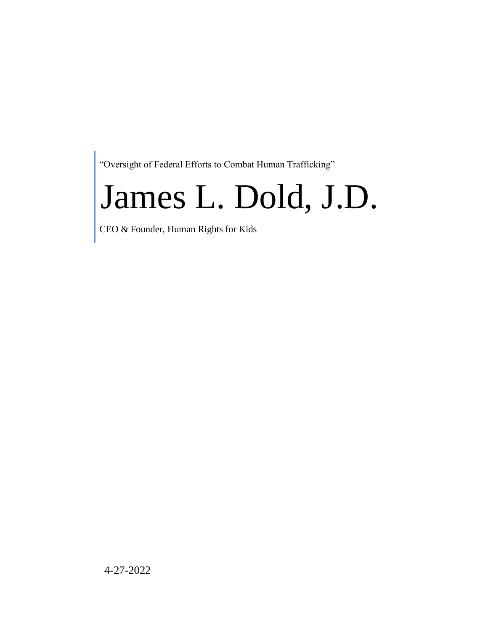"Oversight of Federal Efforts to Combat Human Trafficking"

# James L. Dold, J.D.

CEO & Founder, Human Rights for Kids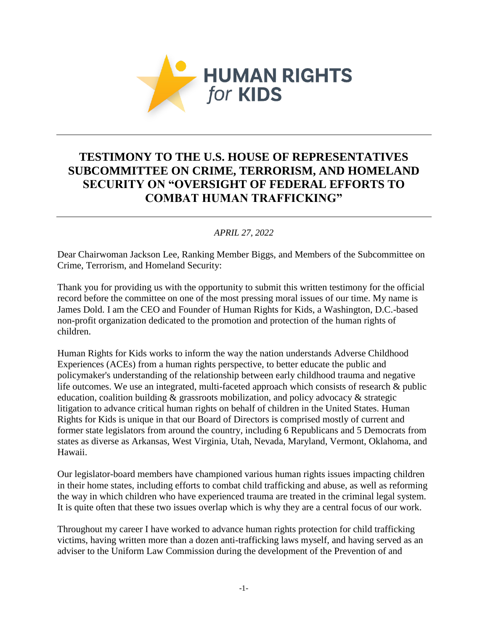

# **TESTIMONY TO THE U.S. HOUSE OF REPRESENTATIVES SUBCOMMITTEE ON CRIME, TERRORISM, AND HOMELAND SECURITY ON "OVERSIGHT OF FEDERAL EFFORTS TO COMBAT HUMAN TRAFFICKING"**

# *APRIL 27, 2022*

Dear Chairwoman Jackson Lee, Ranking Member Biggs, and Members of the Subcommittee on Crime, Terrorism, and Homeland Security:

Thank you for providing us with the opportunity to submit this written testimony for the official record before the committee on one of the most pressing moral issues of our time. My name is James Dold. I am the CEO and Founder of Human Rights for Kids, a Washington, D.C.-based non-profit organization dedicated to the promotion and protection of the human rights of children.

Human Rights for Kids works to inform the way the nation understands Adverse Childhood Experiences (ACEs) from a human rights perspective, to better educate the public and policymaker's understanding of the relationship between early childhood trauma and negative life outcomes. We use an integrated, multi-faceted approach which consists of research & public education, coalition building & grassroots mobilization, and policy advocacy & strategic litigation to advance critical human rights on behalf of children in the United States. Human Rights for Kids is unique in that our Board of Directors is comprised mostly of current and former state legislators from around the country, including 6 Republicans and 5 Democrats from states as diverse as Arkansas, West Virginia, Utah, Nevada, Maryland, Vermont, Oklahoma, and Hawaii.

Our legislator-board members have championed various human rights issues impacting children in their home states, including efforts to combat child trafficking and abuse, as well as reforming the way in which children who have experienced trauma are treated in the criminal legal system. It is quite often that these two issues overlap which is why they are a central focus of our work.

Throughout my career I have worked to advance human rights protection for child trafficking victims, having written more than a dozen anti-trafficking laws myself, and having served as an adviser to the Uniform Law Commission during the development of the Prevention of and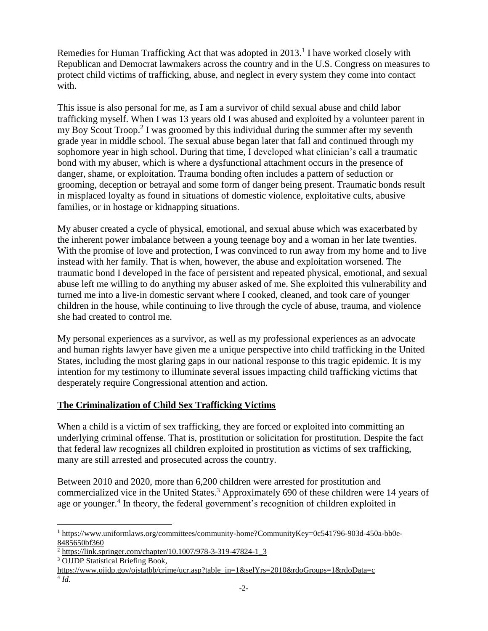Remedies for Human Trafficking Act that was adopted in  $2013$ .<sup>1</sup> I have worked closely with Republican and Democrat lawmakers across the country and in the U.S. Congress on measures to protect child victims of trafficking, abuse, and neglect in every system they come into contact with.

This issue is also personal for me, as I am a survivor of child sexual abuse and child labor trafficking myself. When I was 13 years old I was abused and exploited by a volunteer parent in my Boy Scout Troop.<sup>2</sup> I was groomed by this individual during the summer after my seventh grade year in middle school. The sexual abuse began later that fall and continued through my sophomore year in high school. During that time, I developed what clinician's call a traumatic bond with my abuser, which is where a dysfunctional attachment occurs in the presence of danger, shame, or exploitation. Trauma bonding often includes a pattern of seduction or grooming, deception or betrayal and some form of danger being present. Traumatic bonds result in misplaced loyalty as found in situations of domestic violence, exploitative cults, abusive families, or in hostage or kidnapping situations.

My abuser created a cycle of physical, emotional, and sexual abuse which was exacerbated by the inherent power imbalance between a young teenage boy and a woman in her late twenties. With the promise of love and protection, I was convinced to run away from my home and to live instead with her family. That is when, however, the abuse and exploitation worsened. The traumatic bond I developed in the face of persistent and repeated physical, emotional, and sexual abuse left me willing to do anything my abuser asked of me. She exploited this vulnerability and turned me into a live-in domestic servant where I cooked, cleaned, and took care of younger children in the house, while continuing to live through the cycle of abuse, trauma, and violence she had created to control me.

My personal experiences as a survivor, as well as my professional experiences as an advocate and human rights lawyer have given me a unique perspective into child trafficking in the United States, including the most glaring gaps in our national response to this tragic epidemic. It is my intention for my testimony to illuminate several issues impacting child trafficking victims that desperately require Congressional attention and action.

# **The Criminalization of Child Sex Trafficking Victims**

When a child is a victim of sex trafficking, they are forced or exploited into committing an underlying criminal offense. That is, prostitution or solicitation for prostitution. Despite the fact that federal law recognizes all children exploited in prostitution as victims of sex trafficking, many are still arrested and prosecuted across the country.

Between 2010 and 2020, more than 6,200 children were arrested for prostitution and commercialized vice in the United States.<sup>3</sup> Approximately 690 of these children were 14 years of age or younger.<sup>4</sup> In theory, the federal government's recognition of children exploited in

<sup>1</sup> <sup>1</sup> [https://www.uniformlaws.org/committees/community-home?CommunityKey=0c541796-903d-450a-bb0e-](https://www.uniformlaws.org/committees/community-home?CommunityKey=0c541796-903d-450a-bb0e-8485650bf360)[8485650bf360](https://www.uniformlaws.org/committees/community-home?CommunityKey=0c541796-903d-450a-bb0e-8485650bf360)

 $^{2}$  [https://link.springer.com/chapter/10.1007/978-3-319-47824-1\\_3](https://link.springer.com/chapter/10.1007/978-3-319-47824-1_3)

<sup>&</sup>lt;sup>3</sup> OJJDP Statistical Briefing Book,

[https://www.ojjdp.gov/ojstatbb/crime/ucr.asp?table\\_in=1&selYrs=2010&rdoGroups=1&rdoData=c](https://www.ojjdp.gov/ojstatbb/crime/ucr.asp?table_in=1&selYrs=2010&rdoGroups=1&rdoData=c) 4 *Id.*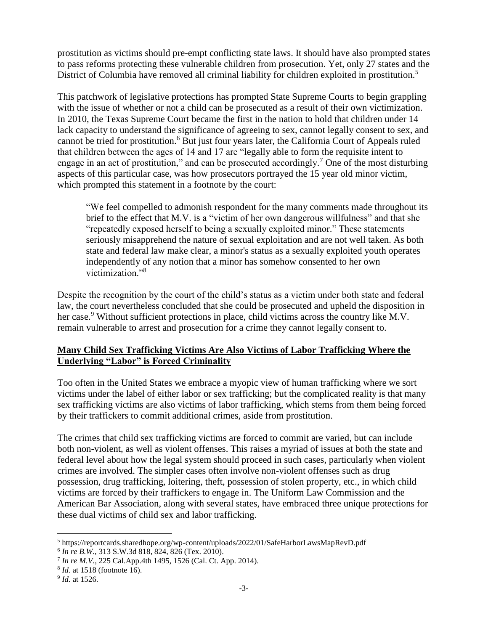prostitution as victims should pre-empt conflicting state laws. It should have also prompted states to pass reforms protecting these vulnerable children from prosecution. Yet, only 27 states and the District of Columbia have removed all criminal liability for children exploited in prostitution.<sup>5</sup>

This patchwork of legislative protections has prompted State Supreme Courts to begin grappling with the issue of whether or not a child can be prosecuted as a result of their own victimization. In 2010, the Texas Supreme Court became the first in the nation to hold that children under 14 lack capacity to understand the significance of agreeing to sex, cannot legally consent to sex, and cannot be tried for prostitution.<sup>6</sup> But just four years later, the California Court of Appeals ruled that children between the ages of 14 and 17 are "legally able to form the requisite intent to engage in an act of prostitution," and can be prosecuted accordingly.<sup>7</sup> One of the most disturbing aspects of this particular case, was how prosecutors portrayed the 15 year old minor victim, which prompted this statement in a footnote by the court:

"We feel compelled to admonish respondent for the many comments made throughout its brief to the effect that M.V. is a "victim of her own dangerous willfulness" and that she "repeatedly exposed herself to being a sexually exploited minor." These statements seriously misapprehend the nature of sexual exploitation and are not well taken. As both state and federal law make clear, a minor's status as a sexually exploited youth operates independently of any notion that a minor has somehow consented to her own victimization."<sup>8</sup>

Despite the recognition by the court of the child's status as a victim under both state and federal law, the court nevertheless concluded that she could be prosecuted and upheld the disposition in her case.<sup>9</sup> Without sufficient protections in place, child victims across the country like M.V. remain vulnerable to arrest and prosecution for a crime they cannot legally consent to.

# **Many Child Sex Trafficking Victims Are Also Victims of Labor Trafficking Where the Underlying "Labor" is Forced Criminality**

Too often in the United States we embrace a myopic view of human trafficking where we sort victims under the label of either labor or sex trafficking; but the complicated reality is that many sex trafficking victims are also victims of labor trafficking, which stems from them being forced by their traffickers to commit additional crimes, aside from prostitution.

The crimes that child sex trafficking victims are forced to commit are varied, but can include both non-violent, as well as violent offenses. This raises a myriad of issues at both the state and federal level about how the legal system should proceed in such cases, particularly when violent crimes are involved. The simpler cases often involve non-violent offenses such as drug possession, drug trafficking, loitering, theft, possession of stolen property, etc., in which child victims are forced by their traffickers to engage in. The Uniform Law Commission and the American Bar Association, along with several states, have embraced three unique protections for these dual victims of child sex and labor trafficking.

6 *In re B.W.*, 313 S.W.3d 818, 824, 826 (Tex. 2010).

<sup>1</sup> <sup>5</sup> https://reportcards.sharedhope.org/wp-content/uploads/2022/01/SafeHarborLawsMapRevD.pdf

<sup>7</sup> *In re M.V.*, 225 Cal.App.4th 1495, 1526 (Cal. Ct. App. 2014).

<sup>8</sup> *Id.* at 1518 (footnote 16).

<sup>9</sup> *Id.* at 1526.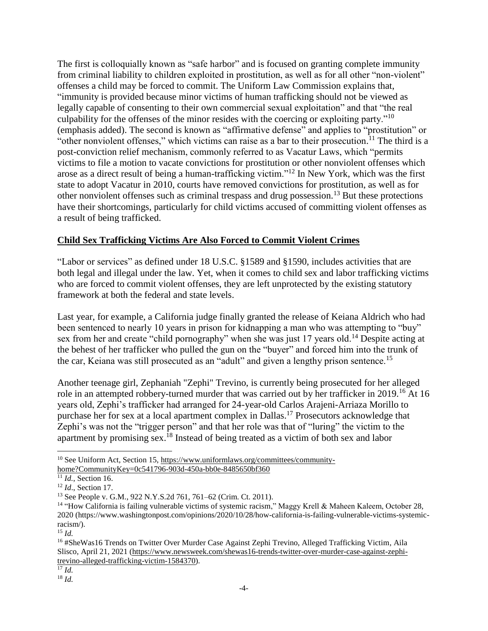The first is colloquially known as "safe harbor" and is focused on granting complete immunity from criminal liability to children exploited in prostitution, as well as for all other "non-violent" offenses a child may be forced to commit. The Uniform Law Commission explains that, "immunity is provided because minor victims of human trafficking should not be viewed as legally capable of consenting to their own commercial sexual exploitation" and that "the real culpability for the offenses of the minor resides with the coercing or exploiting party."<sup>10</sup> (emphasis added). The second is known as "affirmative defense" and applies to "prostitution" or "other nonviolent offenses," which victims can raise as a bar to their prosecution.<sup>11</sup> The third is a post-conviction relief mechanism, commonly referred to as Vacatur Laws, which "permits victims to file a motion to vacate convictions for prostitution or other nonviolent offenses which arose as a direct result of being a human-trafficking victim."<sup>12</sup> In New York, which was the first state to adopt Vacatur in 2010, courts have removed convictions for prostitution, as well as for other nonviolent offenses such as criminal trespass and drug possession.<sup>13</sup> But these protections have their shortcomings, particularly for child victims accused of committing violent offenses as a result of being trafficked.

### **Child Sex Trafficking Victims Are Also Forced to Commit Violent Crimes**

"Labor or services" as defined under 18 U.S.C. §1589 and §1590, includes activities that are both legal and illegal under the law. Yet, when it comes to child sex and labor trafficking victims who are forced to commit violent offenses, they are left unprotected by the existing statutory framework at both the federal and state levels.

Last year, for example, a California judge finally granted the release of Keiana Aldrich who had been sentenced to nearly 10 years in prison for kidnapping a man who was attempting to "buy" sex from her and create "child pornography" when she was just 17 years old.<sup>14</sup> Despite acting at the behest of her trafficker who pulled the gun on the "buyer" and forced him into the trunk of the car, Keiana was still prosecuted as an "adult" and given a lengthy prison sentence.<sup>15</sup>

Another teenage girl, Zephaniah "Zephi" Trevino, is currently being prosecuted for her alleged role in an attempted robbery-turned murder that was carried out by her trafficker in 2019.<sup>16</sup> At 16 years old, Zephi's trafficker had arranged for 24-year-old Carlos Arajeni-Arriaza Morillo to purchase her for sex at a local apartment complex in Dallas.<sup>17</sup> Prosecutors acknowledge that Zephi's was not the "trigger person" and that her role was that of "luring" the victim to the apartment by promising sex.<sup>18</sup> Instead of being treated as a victim of both sex and labor

l  $10$  See Uniform Act, Section 15, [https://www.uniformlaws.org/committees/community](https://www.uniformlaws.org/committees/community-home?CommunityKey=0c541796-903d-450a-bb0e-8485650bf360)[home?CommunityKey=0c541796-903d-450a-bb0e-8485650bf360](https://www.uniformlaws.org/committees/community-home?CommunityKey=0c541796-903d-450a-bb0e-8485650bf360)

<sup>11</sup> *Id.*, Section 16.

<sup>12</sup> *Id*., Section 17.

<sup>13</sup> See People v. G.M., 922 N.Y.S.2d 761, 761–62 (Crim. Ct. 2011).

<sup>&</sup>lt;sup>14</sup> "How California is failing vulnerable victims of systemic racism," Maggy Krell & Maheen Kaleem, October 28, 2020 (https://www.washingtonpost.com/opinions/2020/10/28/how-california-is-failing-vulnerable-victims-systemicracism/).

<sup>15</sup> *Id.*

<sup>&</sup>lt;sup>16</sup> #SheWas16 Trends on Twitter Over Murder Case Against Zephi Trevino, Alleged Trafficking Victim, Aila Slisco, April 21, 2021 [\(https://www.newsweek.com/shewas16-trends-twitter-over-murder-case-against-zephi](https://www.newsweek.com/shewas16-trends-twitter-over-murder-case-against-zephi-trevino-alleged-trafficking-victim-1584370)[trevino-alleged-trafficking-victim-1584370\)](https://www.newsweek.com/shewas16-trends-twitter-over-murder-case-against-zephi-trevino-alleged-trafficking-victim-1584370).

 $\overline{^{17}}$  *Id.* 

<sup>18</sup> *Id.*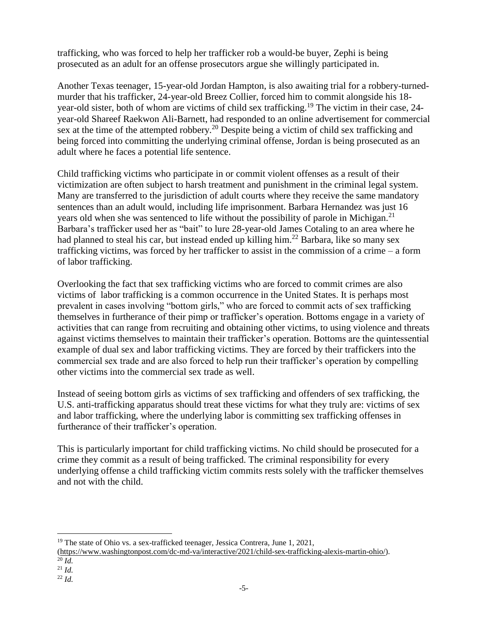trafficking, who was forced to help her trafficker rob a would-be buyer, Zephi is being prosecuted as an adult for an offense prosecutors argue she willingly participated in.

Another Texas teenager, 15-year-old Jordan Hampton, is also awaiting trial for a robbery-turnedmurder that his trafficker, 24-year-old Breez Collier, forced him to commit alongside his 18 year-old sister, both of whom are victims of child sex trafficking.<sup>19</sup> The victim in their case, 24 year-old Shareef Raekwon Ali-Barnett, had responded to an online advertisement for commercial sex at the time of the attempted robbery.<sup>20</sup> Despite being a victim of child sex trafficking and being forced into committing the underlying criminal offense, Jordan is being prosecuted as an adult where he faces a potential life sentence.

Child trafficking victims who participate in or commit violent offenses as a result of their victimization are often subject to harsh treatment and punishment in the criminal legal system. Many are transferred to the jurisdiction of adult courts where they receive the same mandatory sentences than an adult would, including life imprisonment. Barbara Hernandez was just 16 years old when she was sentenced to life without the possibility of parole in Michigan.<sup>21</sup> Barbara's trafficker used her as "bait" to lure 28-year-old James Cotaling to an area where he had planned to steal his car, but instead ended up killing him.<sup>22</sup> Barbara, like so many sex trafficking victims, was forced by her trafficker to assist in the commission of a crime – a form of labor trafficking.

Overlooking the fact that sex trafficking victims who are forced to commit crimes are also victims of labor trafficking is a common occurrence in the United States. It is perhaps most prevalent in cases involving "bottom girls," who are forced to commit acts of sex trafficking themselves in furtherance of their pimp or trafficker's operation. Bottoms engage in a variety of activities that can range from recruiting and obtaining other victims, to using violence and threats against victims themselves to maintain their trafficker's operation. Bottoms are the quintessential example of dual sex and labor trafficking victims. They are forced by their traffickers into the commercial sex trade and are also forced to help run their trafficker's operation by compelling other victims into the commercial sex trade as well.

Instead of seeing bottom girls as victims of sex trafficking and offenders of sex trafficking, the U.S. anti-trafficking apparatus should treat these victims for what they truly are: victims of sex and labor trafficking, where the underlying labor is committing sex trafficking offenses in furtherance of their trafficker's operation.

This is particularly important for child trafficking victims. No child should be prosecuted for a crime they commit as a result of being trafficked. The criminal responsibility for every underlying offense a child trafficking victim commits rests solely with the trafficker themselves and not with the child.

- <sup>21</sup> *Id.*
- <sup>22</sup> *Id.*

<sup>1</sup>  $19$  The state of Ohio vs. a sex-trafficked teenager, Jessica Contrera, June 1, 2021,

[<sup>\(</sup>https://www.washingtonpost.com/dc-md-va/interactive/2021/child-sex-trafficking-alexis-martin-ohio/\)](https://www.washingtonpost.com/dc-md-va/interactive/2021/child-sex-trafficking-alexis-martin-ohio/).

 $^{20}$  *Id.*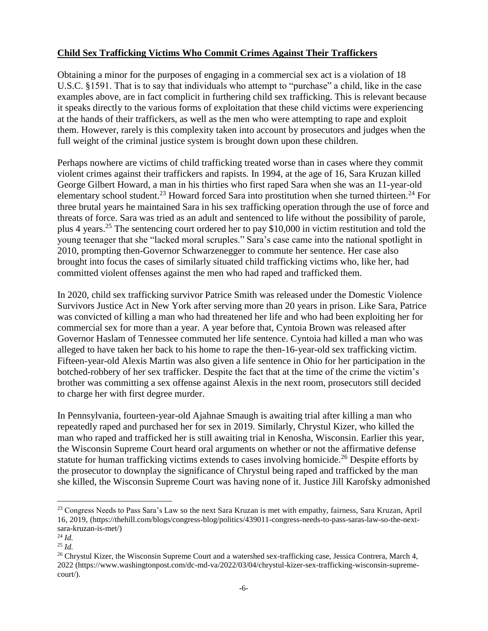### **Child Sex Trafficking Victims Who Commit Crimes Against Their Traffickers**

Obtaining a minor for the purposes of engaging in a commercial sex act is a violation of 18 U.S.C. §1591. That is to say that individuals who attempt to "purchase" a child, like in the case examples above, are in fact complicit in furthering child sex trafficking. This is relevant because it speaks directly to the various forms of exploitation that these child victims were experiencing at the hands of their traffickers, as well as the men who were attempting to rape and exploit them. However, rarely is this complexity taken into account by prosecutors and judges when the full weight of the criminal justice system is brought down upon these children.

Perhaps nowhere are victims of child trafficking treated worse than in cases where they commit violent crimes against their traffickers and rapists. In 1994, at the age of 16, Sara Kruzan killed George Gilbert Howard, a man in his thirties who first raped Sara when she was an 11-year-old elementary school student.<sup>23</sup> Howard forced Sara into prostitution when she turned thirteen.<sup>24</sup> For three brutal years he maintained Sara in his sex trafficking operation through the use of force and threats of force. Sara was tried as an adult and sentenced to life without the possibility of parole, plus 4 years.<sup>25</sup> The sentencing court ordered her to pay \$10,000 in victim restitution and told the young teenager that she "lacked moral scruples." Sara's case came into the national spotlight in 2010, prompting then-Governor Schwarzenegger to commute her sentence. Her case also brought into focus the cases of similarly situated child trafficking victims who, like her, had committed violent offenses against the men who had raped and trafficked them.

In 2020, child sex trafficking survivor Patrice Smith was released under the Domestic Violence Survivors Justice Act in New York after serving more than 20 years in prison. Like Sara, Patrice was convicted of killing a man who had threatened her life and who had been exploiting her for commercial sex for more than a year. A year before that, Cyntoia Brown was released after Governor Haslam of Tennessee commuted her life sentence. Cyntoia had killed a man who was alleged to have taken her back to his home to rape the then-16-year-old sex trafficking victim. Fifteen-year-old Alexis Martin was also given a life sentence in Ohio for her participation in the botched-robbery of her sex trafficker. Despite the fact that at the time of the crime the victim's brother was committing a sex offense against Alexis in the next room, prosecutors still decided to charge her with first degree murder.

In Pennsylvania, fourteen-year-old Ajahnae Smaugh is awaiting trial after killing a man who repeatedly raped and purchased her for sex in 2019. Similarly, Chrystul Kizer, who killed the man who raped and trafficked her is still awaiting trial in Kenosha, Wisconsin. Earlier this year, the Wisconsin Supreme Court heard oral arguments on whether or not the affirmative defense statute for human trafficking victims extends to cases involving homicide.<sup>26</sup> Despite efforts by the prosecutor to downplay the significance of Chrystul being raped and trafficked by the man she killed, the Wisconsin Supreme Court was having none of it. Justice Jill Karofsky admonished

l <sup>23</sup> Congress Needs to Pass Sara's Law so the next Sara Kruzan is met with empathy, fairness, Sara Kruzan, April 16, 2019, (https://thehill.com/blogs/congress-blog/politics/439011-congress-needs-to-pass-saras-law-so-the-nextsara-kruzan-is-met/)

<sup>24</sup> *Id.*

<sup>25</sup> *Id.*

<sup>&</sup>lt;sup>26</sup> Chrystul Kizer, the Wisconsin Supreme Court and a watershed sex-trafficking case, Jessica Contrera, March 4, 2022 (https://www.washingtonpost.com/dc-md-va/2022/03/04/chrystul-kizer-sex-trafficking-wisconsin-supremecourt/).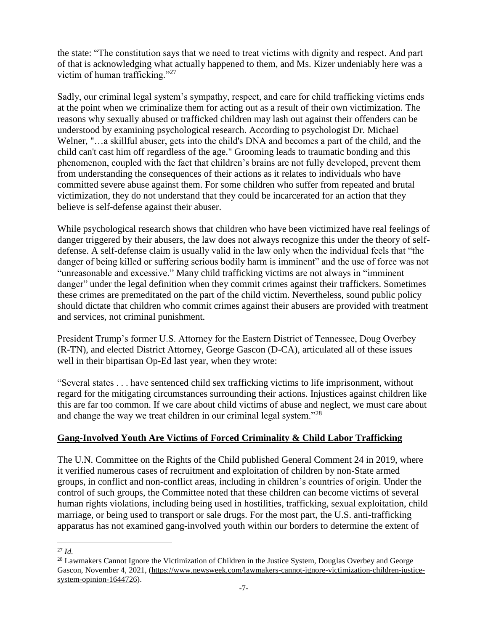the state: "The constitution says that we need to treat victims with dignity and respect. And part of that is acknowledging what actually happened to them, and Ms. Kizer undeniably here was a victim of human trafficking."<sup>27</sup>

Sadly, our criminal legal system's sympathy, respect, and care for child trafficking victims ends at the point when we criminalize them for acting out as a result of their own victimization. The reasons why sexually abused or trafficked children may lash out against their offenders can be understood by examining psychological research. According to psychologist Dr. Michael Welner, "…a skillful abuser, gets into the child's DNA and becomes a part of the child, and the child can't cast him off regardless of the age." Grooming leads to traumatic bonding and this phenomenon, coupled with the fact that children's brains are not fully developed, prevent them from understanding the consequences of their actions as it relates to individuals who have committed severe abuse against them. For some children who suffer from repeated and brutal victimization, they do not understand that they could be incarcerated for an action that they believe is self-defense against their abuser.

While psychological research shows that children who have been victimized have real feelings of danger triggered by their abusers, the law does not always recognize this under the theory of selfdefense. A self-defense claim is usually valid in the law only when the individual feels that "the danger of being killed or suffering serious bodily harm is imminent" and the use of force was not "unreasonable and excessive." Many child trafficking victims are not always in "imminent danger" under the legal definition when they commit crimes against their traffickers. Sometimes these crimes are premeditated on the part of the child victim. Nevertheless, sound public policy should dictate that children who commit crimes against their abusers are provided with treatment and services, not criminal punishment.

President Trump's former U.S. Attorney for the Eastern District of Tennessee, Doug Overbey (R-TN), and elected District Attorney, George Gascon (D-CA), articulated all of these issues well in their bipartisan Op-Ed last year, when they wrote:

"Several states . . . have sentenced child sex trafficking victims to life imprisonment, without regard for the mitigating circumstances surrounding their actions. Injustices against children like this are far too common. If we care about child victims of abuse and neglect, we must care about and change the way we treat children in our criminal legal system."<sup>28</sup>

### **Gang-Involved Youth Are Victims of Forced Criminality & Child Labor Trafficking**

The U.N. Committee on the Rights of the Child published General Comment 24 in 2019, where it verified numerous cases of recruitment and exploitation of children by non-State armed groups, in conflict and non-conflict areas, including in children's countries of origin. Under the control of such groups, the Committee noted that these children can become victims of several human rights violations, including being used in hostilities, trafficking, sexual exploitation, child marriage, or being used to transport or sale drugs. For the most part, the U.S. anti-trafficking apparatus has not examined gang-involved youth within our borders to determine the extent of

l <sup>27</sup> *Id.*

<sup>&</sup>lt;sup>28</sup> Lawmakers Cannot Ignore the Victimization of Children in the Justice System, Douglas Overbey and George Gascon, November 4, 2021, [\(https://www.newsweek.com/lawmakers-cannot-ignore-victimization-children-justice](https://www.newsweek.com/lawmakers-cannot-ignore-victimization-children-justice-system-opinion-1644726)[system-opinion-1644726\)](https://www.newsweek.com/lawmakers-cannot-ignore-victimization-children-justice-system-opinion-1644726).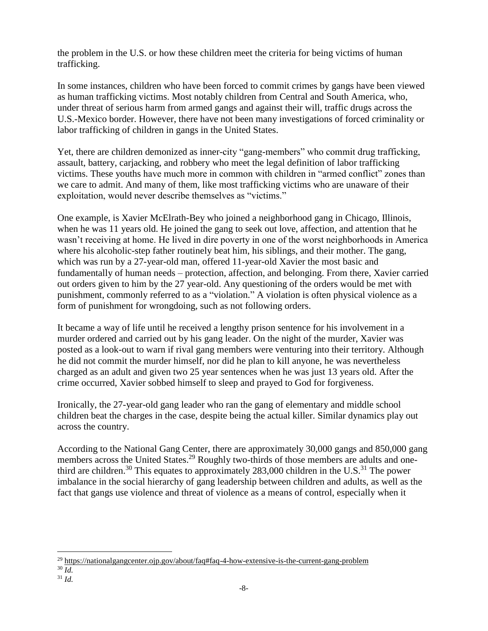the problem in the U.S. or how these children meet the criteria for being victims of human trafficking.

In some instances, children who have been forced to commit crimes by gangs have been viewed as human trafficking victims. Most notably children from Central and South America, who, under threat of serious harm from armed gangs and against their will, traffic drugs across the U.S.-Mexico border. However, there have not been many investigations of forced criminality or labor trafficking of children in gangs in the United States.

Yet, there are children demonized as inner-city "gang-members" who commit drug trafficking, assault, battery, carjacking, and robbery who meet the legal definition of labor trafficking victims. These youths have much more in common with children in "armed conflict" zones than we care to admit. And many of them, like most trafficking victims who are unaware of their exploitation, would never describe themselves as "victims."

One example, is Xavier McElrath-Bey who joined a neighborhood gang in Chicago, Illinois, when he was 11 years old. He joined the gang to seek out love, affection, and attention that he wasn't receiving at home. He lived in dire poverty in one of the worst neighborhoods in America where his alcoholic-step father routinely beat him, his siblings, and their mother. The gang, which was run by a 27-year-old man, offered 11-year-old Xavier the most basic and fundamentally of human needs – protection, affection, and belonging. From there, Xavier carried out orders given to him by the 27 year-old. Any questioning of the orders would be met with punishment, commonly referred to as a "violation." A violation is often physical violence as a form of punishment for wrongdoing, such as not following orders.

It became a way of life until he received a lengthy prison sentence for his involvement in a murder ordered and carried out by his gang leader. On the night of the murder, Xavier was posted as a look-out to warn if rival gang members were venturing into their territory. Although he did not commit the murder himself, nor did he plan to kill anyone, he was nevertheless charged as an adult and given two 25 year sentences when he was just 13 years old. After the crime occurred, Xavier sobbed himself to sleep and prayed to God for forgiveness.

Ironically, the 27-year-old gang leader who ran the gang of elementary and middle school children beat the charges in the case, despite being the actual killer. Similar dynamics play out across the country.

According to the National Gang Center, there are approximately 30,000 gangs and 850,000 gang members across the United States.<sup>29</sup> Roughly two-thirds of those members are adults and onethird are children.<sup>30</sup> This equates to approximately 283,000 children in the U.S.<sup>31</sup> The power imbalance in the social hierarchy of gang leadership between children and adults, as well as the fact that gangs use violence and threat of violence as a means of control, especially when it

1

<sup>&</sup>lt;sup>29</sup> <https://nationalgangcenter.ojp.gov/about/faq#faq-4-how-extensive-is-the-current-gang-problem>

 $30 \overline{Id}$ .

<sup>31</sup> *Id.*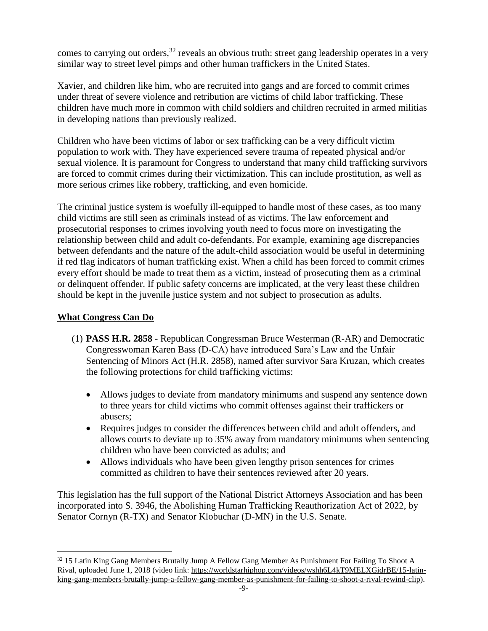comes to carrying out orders,  $32$  reveals an obvious truth: street gang leadership operates in a very similar way to street level pimps and other human traffickers in the United States.

Xavier, and children like him, who are recruited into gangs and are forced to commit crimes under threat of severe violence and retribution are victims of child labor trafficking. These children have much more in common with child soldiers and children recruited in armed militias in developing nations than previously realized.

Children who have been victims of labor or sex trafficking can be a very difficult victim population to work with. They have experienced severe trauma of repeated physical and/or sexual violence. It is paramount for Congress to understand that many child trafficking survivors are forced to commit crimes during their victimization. This can include prostitution, as well as more serious crimes like robbery, trafficking, and even homicide.

The criminal justice system is woefully ill-equipped to handle most of these cases, as too many child victims are still seen as criminals instead of as victims. The law enforcement and prosecutorial responses to crimes involving youth need to focus more on investigating the relationship between child and adult co-defendants. For example, examining age discrepancies between defendants and the nature of the adult-child association would be useful in determining if red flag indicators of human trafficking exist. When a child has been forced to commit crimes every effort should be made to treat them as a victim, instead of prosecuting them as a criminal or delinquent offender. If public safety concerns are implicated, at the very least these children should be kept in the juvenile justice system and not subject to prosecution as adults.

### **What Congress Can Do**

1

- (1) **PASS H.R. 2858** Republican Congressman Bruce Westerman (R-AR) and Democratic Congresswoman Karen Bass (D-CA) have introduced Sara's Law and the Unfair Sentencing of Minors Act (H.R. 2858), named after survivor Sara Kruzan, which creates the following protections for child trafficking victims:
	- Allows judges to deviate from mandatory minimums and suspend any sentence down to three years for child victims who commit offenses against their traffickers or abusers;
	- Requires judges to consider the differences between child and adult offenders, and allows courts to deviate up to 35% away from mandatory minimums when sentencing children who have been convicted as adults; and
	- Allows individuals who have been given lengthy prison sentences for crimes committed as children to have their sentences reviewed after 20 years.

This legislation has the full support of the National District Attorneys Association and has been incorporated into S. 3946, the Abolishing Human Trafficking Reauthorization Act of 2022, by Senator Cornyn (R-TX) and Senator Klobuchar (D-MN) in the U.S. Senate.

<sup>&</sup>lt;sup>32</sup> 15 Latin King Gang Members Brutally Jump A Fellow Gang Member As Punishment For Failing To Shoot A Rival, uploaded June 1, 2018 (video link: [https://worldstarhiphop.com/videos/wshh6L4kT9MELXGidrBE/15-latin](https://worldstarhiphop.com/videos/wshh6L4kT9MELXGidrBE/15-latin-king-gang-members-brutally-jump-a-fellow-gang-member-as-punishment-for-failing-to-shoot-a-rival-rewind-clip)[king-gang-members-brutally-jump-a-fellow-gang-member-as-punishment-for-failing-to-shoot-a-rival-rewind-clip\)](https://worldstarhiphop.com/videos/wshh6L4kT9MELXGidrBE/15-latin-king-gang-members-brutally-jump-a-fellow-gang-member-as-punishment-for-failing-to-shoot-a-rival-rewind-clip).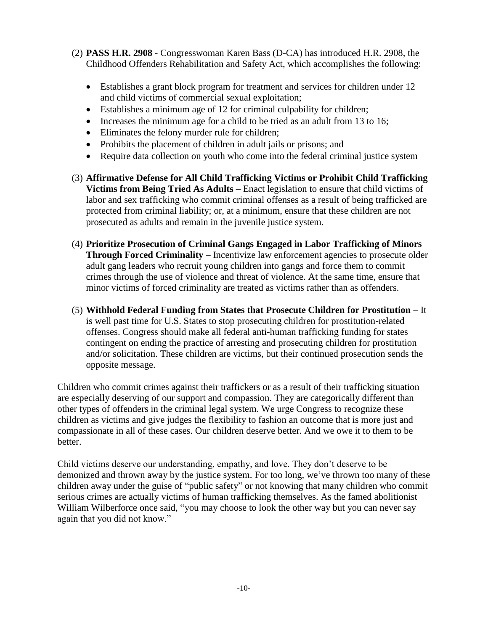- (2) **PASS H.R. 2908** Congresswoman Karen Bass (D-CA) has introduced H.R. 2908, the Childhood Offenders Rehabilitation and Safety Act, which accomplishes the following:
	- Establishes a grant block program for treatment and services for children under 12 and child victims of commercial sexual exploitation;
	- Establishes a minimum age of 12 for criminal culpability for children;
	- Increases the minimum age for a child to be tried as an adult from 13 to 16;
	- Eliminates the felony murder rule for children;
	- Prohibits the placement of children in adult jails or prisons; and
	- Require data collection on youth who come into the federal criminal justice system
- (3) **Affirmative Defense for All Child Trafficking Victims or Prohibit Child Trafficking Victims from Being Tried As Adults** – Enact legislation to ensure that child victims of labor and sex trafficking who commit criminal offenses as a result of being trafficked are protected from criminal liability; or, at a minimum, ensure that these children are not prosecuted as adults and remain in the juvenile justice system.
- (4) **Prioritize Prosecution of Criminal Gangs Engaged in Labor Trafficking of Minors Through Forced Criminality** – Incentivize law enforcement agencies to prosecute older adult gang leaders who recruit young children into gangs and force them to commit crimes through the use of violence and threat of violence. At the same time, ensure that minor victims of forced criminality are treated as victims rather than as offenders.
- (5) **Withhold Federal Funding from States that Prosecute Children for Prostitution** It is well past time for U.S. States to stop prosecuting children for prostitution-related offenses. Congress should make all federal anti-human trafficking funding for states contingent on ending the practice of arresting and prosecuting children for prostitution and/or solicitation. These children are victims, but their continued prosecution sends the opposite message.

Children who commit crimes against their traffickers or as a result of their trafficking situation are especially deserving of our support and compassion. They are categorically different than other types of offenders in the criminal legal system. We urge Congress to recognize these children as victims and give judges the flexibility to fashion an outcome that is more just and compassionate in all of these cases. Our children deserve better. And we owe it to them to be better.

Child victims deserve our understanding, empathy, and love. They don't deserve to be demonized and thrown away by the justice system. For too long, we've thrown too many of these children away under the guise of "public safety" or not knowing that many children who commit serious crimes are actually victims of human trafficking themselves. As the famed abolitionist William Wilberforce once said, "you may choose to look the other way but you can never say again that you did not know."